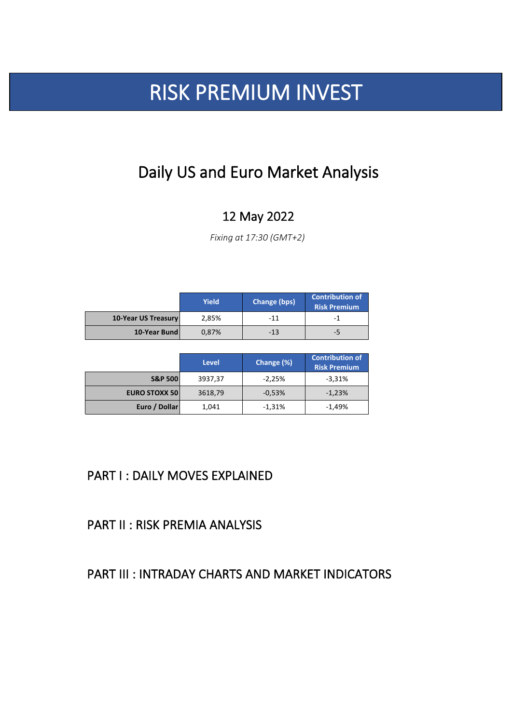## PART I : DAILY MOVES EXPLAINED

PART II : RISK PREMIA ANALYSIS

## PART III : INTRADAY CHARTS AND MARKET INDICATORS

# RISK PREMIUM INVEST

|                            | <b>Yield</b> | <b>Change (bps)</b> | <b>Contribution of</b><br><b>Risk Premium</b> |
|----------------------------|--------------|---------------------|-----------------------------------------------|
| <b>10-Year US Treasury</b> | 2,85%        | $-11$               | -1                                            |
| 10-Year Bund               | 0,87%        | $-13$               | -5                                            |

|                      | <b>Level</b> | Change (%) | <b>Contribution of</b><br><b>Risk Premium</b> |
|----------------------|--------------|------------|-----------------------------------------------|
| <b>S&amp;P 500</b>   | 3937,37      | $-2,25%$   | $-3,31%$                                      |
| <b>EURO STOXX 50</b> | 3618,79      | $-0,53%$   | $-1,23%$                                      |
| Euro / Dollar        | 1,041        | $-1,31%$   | $-1,49%$                                      |

*Fixing at 17:30 (GMT+2)*

## Daily US and Euro Market Analysis

## 12 May 2022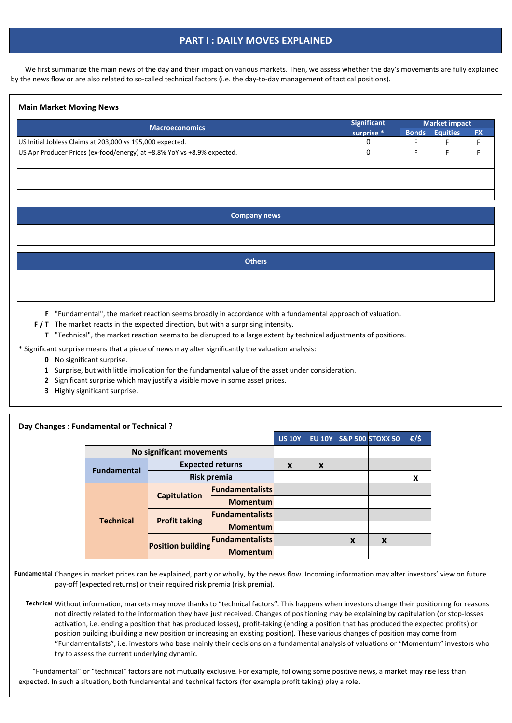#### **Main Market Moving News**

- **F** "Fundamental", the market reaction seems broadly in accordance with a fundamental approach of valuation.
- **F/T** The market reacts in the expected direction, but with a surprising intensity.
	- **T** "Technical", the market reaction seems to be disrupted to a large extent by technical adjustments of positions.
- \* Significant surprise means that a piece of news may alter significantly the valuation analysis:
	- **0** No significant surprise.
	- **1** Surprise, but with little implication for the fundamental value of the asset under consideration.
	- **2** Significant surprise which may justify a visible move in some asset prices.
	- **3** Highly significant surprise.

#### **Day Changes : Fundamental or Technical ?**

 We first summarize the main news of the day and their impact on various markets. Then, we assess whether the day's movements are fully explained by the news flow or are also related to so-called technical factors (i.e. the day-to-day management of tactical positions).

## **PART I : DAILY MOVES EXPLAINED**

**Fundamental** Changes in market prices can be explained, partly or wholly, by the news flow. Incoming information may alter investors' view on future pay-off (expected returns) or their required risk premia (risk premia).

| <b>Others</b> |  |  |
|---------------|--|--|
|               |  |  |
|               |  |  |
|               |  |  |

| <b>Macroeconomics</b>                                                   | <b>Significant</b> | <b>Market impact</b> |                       |           |  |
|-------------------------------------------------------------------------|--------------------|----------------------|-----------------------|-----------|--|
|                                                                         | surprise *         |                      | <b>Bonds Equities</b> | <b>FX</b> |  |
| US Initial Jobless Claims at 203,000 vs 195,000 expected.               |                    |                      |                       |           |  |
| US Apr Producer Prices (ex-food/energy) at +8.8% YoY vs +8.9% expected. |                    |                      |                       |           |  |
|                                                                         |                    |                      |                       |           |  |
|                                                                         |                    |                      |                       |           |  |
|                                                                         |                    |                      |                       |           |  |
|                                                                         |                    |                      |                       |           |  |

**Technical** Without information, markets may move thanks to "technical factors". This happens when investors change their positioning for reasons not directly related to the information they have just received. Changes of positioning may be explaining by capitulation (or stop-losses activation, i.e. ending a position that has produced losses), profit-taking (ending a position that has produced the expected profits) or position building (building a new position or increasing an existing position). These various changes of position may come from "Fundamentalists", i.e. investors who base mainly their decisions on a fundamental analysis of valuations or "Momentum" investors who try to assess the current underlying dynamic.

|                    |                          | UJ LU I                 | LV LV I |   | <b>PURITY OF STRAIGHTING</b> | $\mathcal{L}$ |   |
|--------------------|--------------------------|-------------------------|---------|---|------------------------------|---------------|---|
|                    | No significant movements |                         |         |   |                              |               |   |
| <b>Fundamental</b> |                          | <b>Expected returns</b> | X       | X |                              |               |   |
|                    | <b>Risk premia</b>       |                         |         |   |                              |               | X |
|                    | <b>Capitulation</b>      | <b>Fundamentalists</b>  |         |   |                              |               |   |
|                    |                          | <b>Momentum</b>         |         |   |                              |               |   |
| <b>Technical</b>   | <b>Profit taking</b>     | <b>Fundamentalists</b>  |         |   |                              |               |   |
|                    |                          | <b>Momentum</b>         |         |   |                              |               |   |
|                    | <b>Position building</b> | <b>Fundamentalists</b>  |         |   | X                            | X             |   |
|                    |                          | <b>Momentum</b>         |         |   |                              |               |   |

 "Fundamental" or "technical" factors are not mutually exclusive. For example, following some positive news, a market may rise less than expected. In such a situation, both fundamental and technical factors (for example profit taking) play a role.

| <b>Company news</b> |
|---------------------|
|                     |
|                     |
|                     |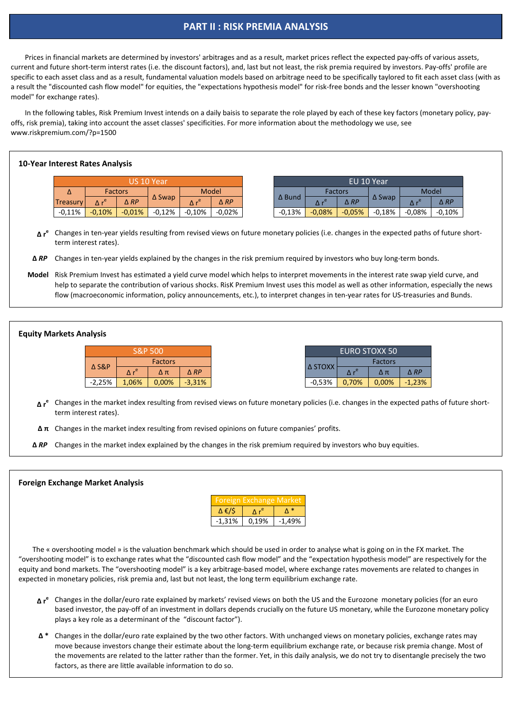#### **10-Year Interest Rates Analysis**

- **∆ r<sup>e</sup> Changes in the market index resulting from revised views on future monetary policies (i.e. changes in the expected paths of future short**term interest rates).
- **Δ π** Changes in the market index resulting from revised opinions on future companies' profits.

#### **Equity Markets Analysis**

#### **Foreign Exchange Market Analysis**

- **Δ** *RP* Changes in ten-year yields explained by the changes in the risk premium required by investors who buy long-term bonds.
- **Model** Risk Premium Invest has estimated a yield curve model which helps to interpret movements in the interest rate swap yield curve, and help to separate the contribution of various shocks. RisK Premium Invest uses this model as well as other information, especially the news flow (macroeconomic information, policy announcements, etc.), to interpret changes in ten-year rates for US-treasuries and Bunds.

**Δ r<sup>e</sup>** Changes in ten-year yields resulting from revised views on future monetary policies (i.e. changes in the expected paths of future shortterm interest rates).

- **Δ r<sup>e</sup>** Changes in the dollar/euro rate explained by markets' revised views on both the US and the Eurozone monetary policies (for an euro based investor, the pay-off of an investment in dollars depends crucially on the future US monetary, while the Eurozone monetary policy plays a key role as a determinant of the "discount factor").
- **Δ \*** Changes in the dollar/euro rate explained by the two other factors. With unchanged views on monetary policies, exchange rates may move because investors change their estimate about the long-term equilibrium exchange rate, or because risk premia change. Most of the movements are related to the latter rather than the former. Yet, in this daily analysis, we do not try to disentangle precisely the two factors, as there are little available information to do so.

| <u>eign Exchange Market</u> |       |          |  |  |  |  |
|-----------------------------|-------|----------|--|--|--|--|
| $\Delta \epsilon / S$       |       |          |  |  |  |  |
| $-1,31%$                    | 0,19% | $-1,49%$ |  |  |  |  |

 The « overshooting model » is the valuation benchmark which should be used in order to analyse what is going on in the FX market. The "overshooting model" is to exchange rates what the "discounted cash flow model" and the "expectation hypothesis model" are respectively for the equity and bond markets. The "overshooting model" is a key arbitrage-based model, where exchange rates movements are related to changes in expected in monetary policies, risk premia and, last but not least, the long term equilibrium exchange rate.

|                 |          |                | US 10 Year       |          |                |               |          | EU 10 Year     |                  |        |                |
|-----------------|----------|----------------|------------------|----------|----------------|---------------|----------|----------------|------------------|--------|----------------|
| Δ               |          | <b>Factors</b> |                  |          | <b>Model</b>   |               |          | Factors        |                  |        | Model          |
| <b>Treasury</b> |          | $\triangle RP$ | $\triangle$ Swap |          | $\triangle RP$ | $\Delta$ Bund |          | $\triangle$ RP | $\triangle$ Swap |        | $\triangle$ RP |
| $-0,11%$        | $-0,10%$ | $-0.01\%$      | $-0,12%$         | $-0,10%$ | $-0.02%$       | $-0,13%$      | $-0,08%$ | $-0,05%$       | $-0,18%$         | -0,08% | $-0,10%$       |

|                  |                       | <b>S&amp;P 500</b> |                |
|------------------|-----------------------|--------------------|----------------|
|                  |                       | <b>Factors</b>     |                |
| <b>∆ S&amp;P</b> | $\Delta r^{\text{e}}$ | Δπ                 | $\triangle RP$ |
| $-2,25%$         | 1,06%                 | 0,00%              | $-3,31%$       |

 Prices in financial markets are determined by investors' arbitrages and as a result, market prices reflect the expected pay-offs of various assets, current and future short-term interst rates (i.e. the discount factors), and, last but not least, the risk premia required by investors. Pay-offs' profile are specific to each asset class and as a result, fundamental valuation models based on arbitrage need to be specifically taylored to fit each asset class (with as a result the "discounted cash flow model" for equities, the "expectations hypothesis model" for risk-free bonds and the lesser known "overshooting model" for exchange rates).

 In the following tables, Risk Premium Invest intends on a daily baisis to separate the role played by each of these key factors (monetary policy, payoffs, risk premia), taking into account the asset classes' specificities. For more information about the methodology we use, see www.riskpremium.com/?p=1500

#### **PART II : RISK PREMIA ANALYSIS**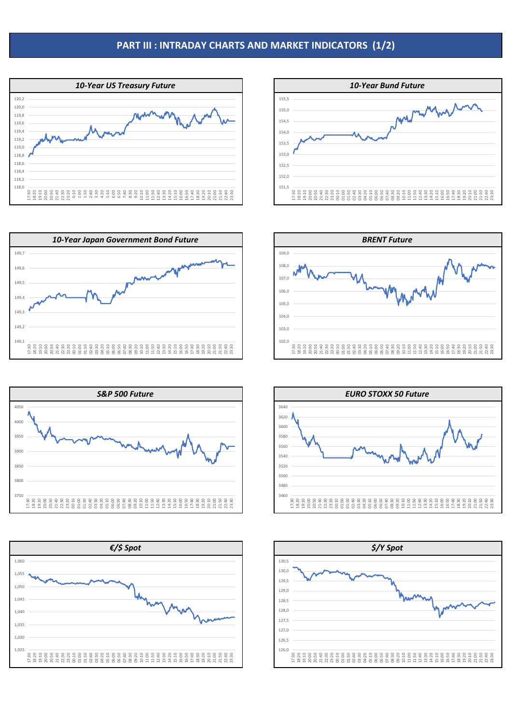### **PART III : INTRADAY CHARTS AND MARKET INDICATORS (1/2)**